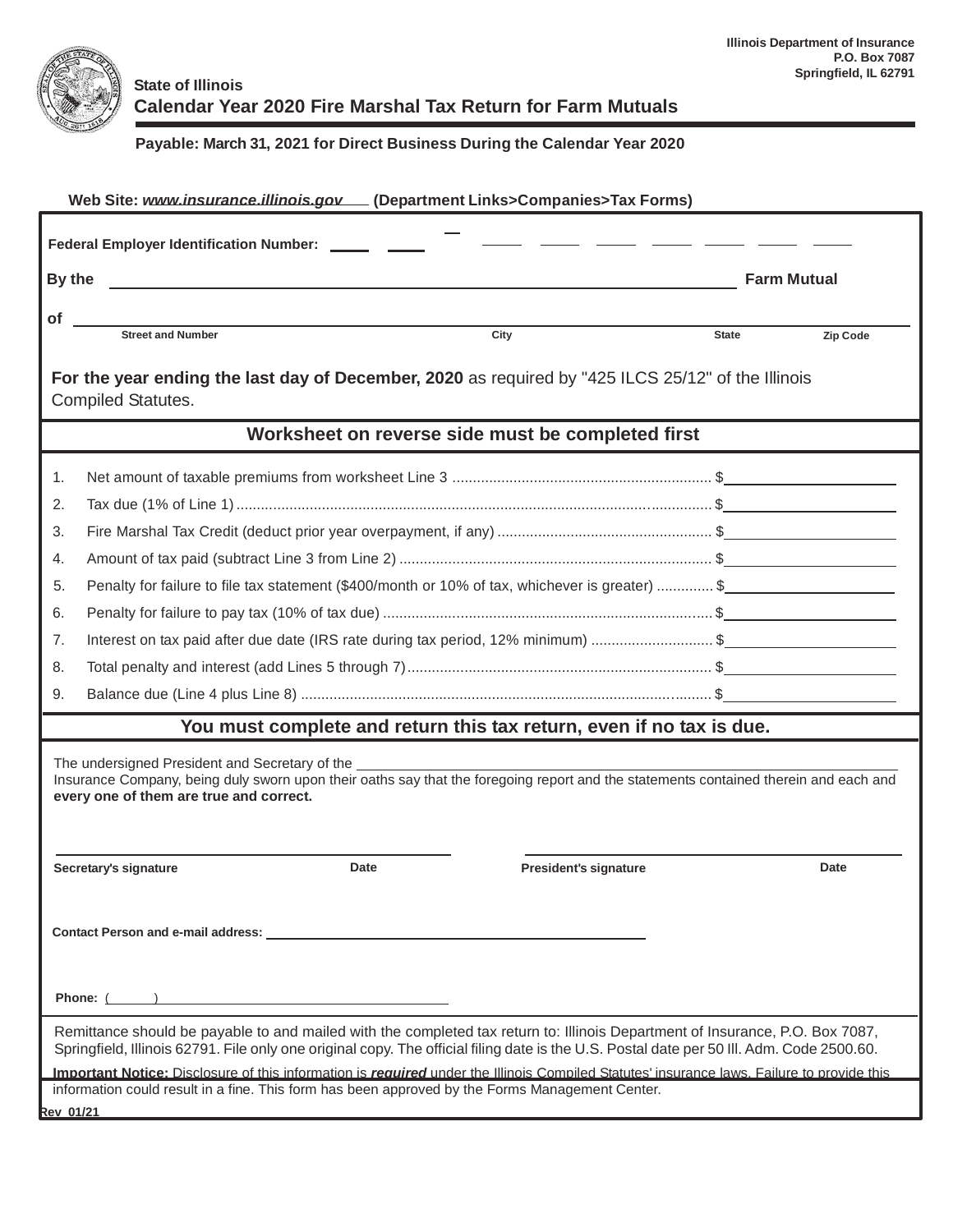

## **State of Illinois Calendar Year 2020 Fire Marshal Tax Return for Farm Mutuals**

## **Payable: March 31, 2021 for Direct Business During the Calendar Year 2020**

| Web Site: www.insurance.illinois.gov [Department Links>Companies>Tax Forms)                                                                                                                                                                                                                                                                                                                                             |                                                                                                 |                              |          |  |  |  |  |  |
|-------------------------------------------------------------------------------------------------------------------------------------------------------------------------------------------------------------------------------------------------------------------------------------------------------------------------------------------------------------------------------------------------------------------------|-------------------------------------------------------------------------------------------------|------------------------------|----------|--|--|--|--|--|
| Federal Employer Identification Number: ______ ___                                                                                                                                                                                                                                                                                                                                                                      |                                                                                                 |                              |          |  |  |  |  |  |
|                                                                                                                                                                                                                                                                                                                                                                                                                         | By the<br><b>Farm Mutual</b>                                                                    |                              |          |  |  |  |  |  |
| Οf                                                                                                                                                                                                                                                                                                                                                                                                                      |                                                                                                 |                              |          |  |  |  |  |  |
|                                                                                                                                                                                                                                                                                                                                                                                                                         | <b>Street and Number</b><br>City                                                                | <b>State</b>                 | Zip Code |  |  |  |  |  |
| For the year ending the last day of December, 2020 as required by "425 ILCS 25/12" of the Illinois<br><b>Compiled Statutes.</b>                                                                                                                                                                                                                                                                                         |                                                                                                 |                              |          |  |  |  |  |  |
| Worksheet on reverse side must be completed first                                                                                                                                                                                                                                                                                                                                                                       |                                                                                                 |                              |          |  |  |  |  |  |
| 1.                                                                                                                                                                                                                                                                                                                                                                                                                      |                                                                                                 |                              |          |  |  |  |  |  |
| 2.                                                                                                                                                                                                                                                                                                                                                                                                                      |                                                                                                 |                              |          |  |  |  |  |  |
| 3.                                                                                                                                                                                                                                                                                                                                                                                                                      |                                                                                                 |                              |          |  |  |  |  |  |
| 4.                                                                                                                                                                                                                                                                                                                                                                                                                      |                                                                                                 |                              |          |  |  |  |  |  |
| 5.                                                                                                                                                                                                                                                                                                                                                                                                                      | Penalty for failure to file tax statement (\$400/month or 10% of tax, whichever is greater)  \$ |                              |          |  |  |  |  |  |
| 6.                                                                                                                                                                                                                                                                                                                                                                                                                      |                                                                                                 |                              |          |  |  |  |  |  |
| 7.                                                                                                                                                                                                                                                                                                                                                                                                                      | Interest on tax paid after due date (IRS rate during tax period, 12% minimum) \$                |                              |          |  |  |  |  |  |
| 8.                                                                                                                                                                                                                                                                                                                                                                                                                      |                                                                                                 |                              |          |  |  |  |  |  |
| 9.                                                                                                                                                                                                                                                                                                                                                                                                                      |                                                                                                 |                              |          |  |  |  |  |  |
|                                                                                                                                                                                                                                                                                                                                                                                                                         | You must complete and return this tax return, even if no tax is due.                            |                              |          |  |  |  |  |  |
| The undersigned President and Secretary of the <b>contact and the contact of the contact of the contact of the contact of the contact of the contact of the contact of the contact of the contact of the contact of the contact </b><br>Insurance Company, being duly sworn upon their oaths say that the foregoing report and the statements contained therein and each and<br>every one of them are true and correct. |                                                                                                 |                              |          |  |  |  |  |  |
|                                                                                                                                                                                                                                                                                                                                                                                                                         | Date<br>Secretary's signature                                                                   | <b>President's signature</b> | Date     |  |  |  |  |  |
|                                                                                                                                                                                                                                                                                                                                                                                                                         |                                                                                                 |                              |          |  |  |  |  |  |
|                                                                                                                                                                                                                                                                                                                                                                                                                         |                                                                                                 |                              |          |  |  |  |  |  |
| Remittance should be payable to and mailed with the completed tax return to: Illinois Department of Insurance, P.O. Box 7087,<br>Springfield, Illinois 62791. File only one original copy. The official filing date is the U.S. Postal date per 50 III. Adm. Code 2500.60.                                                                                                                                              |                                                                                                 |                              |          |  |  |  |  |  |
| Important Notice: Disclosure of this information is required under the Illinois Compiled Statutes' insurance laws. Failure to provide this<br>information could result in a fine. This form has been approved by the Forms Management Center.                                                                                                                                                                           |                                                                                                 |                              |          |  |  |  |  |  |
| Rev 01/21                                                                                                                                                                                                                                                                                                                                                                                                               |                                                                                                 |                              |          |  |  |  |  |  |
|                                                                                                                                                                                                                                                                                                                                                                                                                         |                                                                                                 |                              |          |  |  |  |  |  |